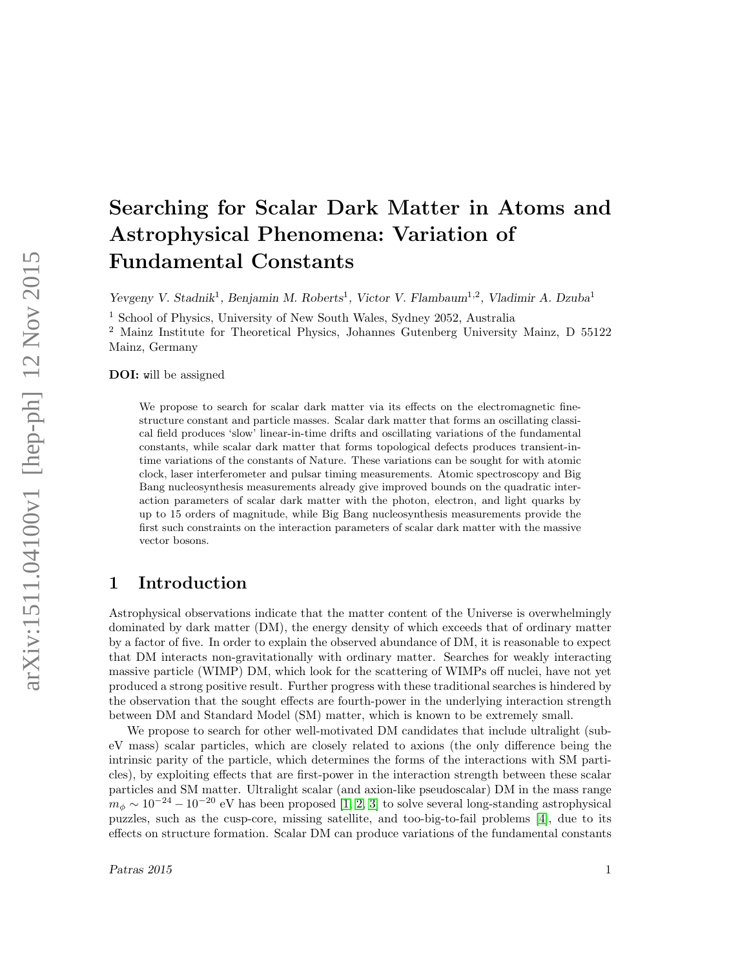# Searching for Scalar Dark Matter in Atoms and Astrophysical Phenomena: Variation of Fundamental Constants

Yevgeny V. Stadnik<sup>1</sup>, Benjamin M. Roberts<sup>1</sup>, Victor V. Flambaum<sup>1,2</sup>, Vladimir A. Dzuba<sup>1</sup>

<sup>1</sup> School of Physics, University of New South Wales, Sydney 2052, Australia

<sup>2</sup> Mainz Institute for Theoretical Physics, Johannes Gutenberg University Mainz, D 55122 Mainz, Germany

DOI: will be assigned

We propose to search for scalar dark matter via its effects on the electromagnetic finestructure constant and particle masses. Scalar dark matter that forms an oscillating classical field produces 'slow' linear-in-time drifts and oscillating variations of the fundamental constants, while scalar dark matter that forms topological defects produces transient-intime variations of the constants of Nature. These variations can be sought for with atomic clock, laser interferometer and pulsar timing measurements. Atomic spectroscopy and Big Bang nucleosynthesis measurements already give improved bounds on the quadratic interaction parameters of scalar dark matter with the photon, electron, and light quarks by up to 15 orders of magnitude, while Big Bang nucleosynthesis measurements provide the first such constraints on the interaction parameters of scalar dark matter with the massive vector bosons.

## 1 Introduction

Astrophysical observations indicate that the matter content of the Universe is overwhelmingly dominated by dark matter (DM), the energy density of which exceeds that of ordinary matter by a factor of five. In order to explain the observed abundance of DM, it is reasonable to expect that DM interacts non-gravitationally with ordinary matter. Searches for weakly interacting massive particle (WIMP) DM, which look for the scattering of WIMPs off nuclei, have not yet produced a strong positive result. Further progress with these traditional searches is hindered by the observation that the sought effects are fourth-power in the underlying interaction strength between DM and Standard Model (SM) matter, which is known to be extremely small.

We propose to search for other well-motivated DM candidates that include ultralight (subeV mass) scalar particles, which are closely related to axions (the only difference being the intrinsic parity of the particle, which determines the forms of the interactions with SM particles), by exploiting effects that are first-power in the interaction strength between these scalar particles and SM matter. Ultralight scalar (and axion-like pseudoscalar) DM in the mass range  $m_{\phi} \sim 10^{-24} - 10^{-20}$  eV has been proposed [\[1,](#page-3-0) [2,](#page-3-1) [3\]](#page-3-2) to solve several long-standing astrophysical puzzles, such as the cusp-core, missing satellite, and too-big-to-fail problems [\[4\]](#page-3-3), due to its effects on structure formation. Scalar DM can produce variations of the fundamental constants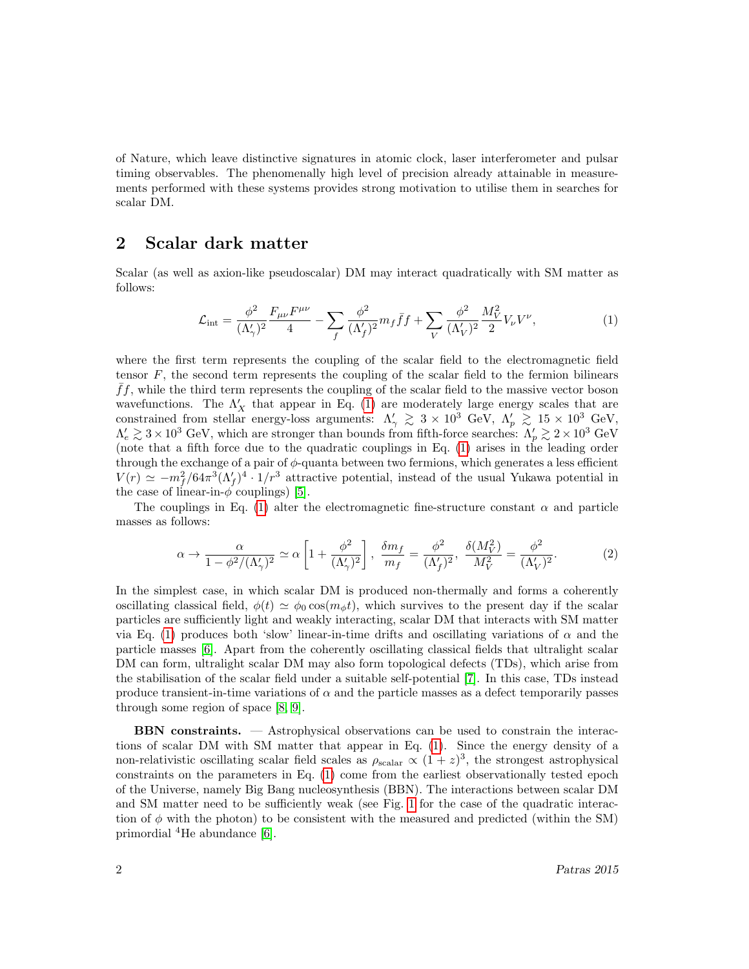of Nature, which leave distinctive signatures in atomic clock, laser interferometer and pulsar timing observables. The phenomenally high level of precision already attainable in measurements performed with these systems provides strong motivation to utilise them in searches for scalar DM.

#### 2 Scalar dark matter

Scalar (as well as axion-like pseudoscalar) DM may interact quadratically with SM matter as follows:

<span id="page-1-0"></span>
$$
\mathcal{L}_{\text{int}} = \frac{\phi^2}{(\Lambda'_{\gamma})^2} \frac{F_{\mu\nu} F^{\mu\nu}}{4} - \sum_f \frac{\phi^2}{(\Lambda'_f)^2} m_f \bar{f} f + \sum_V \frac{\phi^2}{(\Lambda'_V)^2} \frac{M_V^2}{2} V_{\nu} V^{\nu},\tag{1}
$$

where the first term represents the coupling of the scalar field to the electromagnetic field tensor  $F$ , the second term represents the coupling of the scalar field to the fermion bilinears  $ff$ , while the third term represents the coupling of the scalar field to the massive vector boson wavefunctions. The  $\Lambda'_X$  that appear in Eq. [\(1\)](#page-1-0) are moderately large energy scales that are constrained from stellar energy-loss arguments:  $\Lambda'_{\gamma} \gtrsim 3 \times 10^3$  GeV,  $\Lambda'_{p} \gtrsim 15 \times 10^3$  GeV,  $\Lambda'_e \gtrsim 3 \times 10^3$  GeV, which are stronger than bounds from fifth-force searches:  $\Lambda'_p \gtrsim 2 \times 10^3$  GeV (note that a fifth force due to the quadratic couplings in Eq. [\(1\)](#page-1-0) arises in the leading order through the exchange of a pair of  $\phi$ -quanta between two fermions, which generates a less efficient  $V(r) \simeq -m_f^2/64\pi^3(\Lambda_f')^4 \cdot 1/r^3$  attractive potential, instead of the usual Yukawa potential in the case of linear-in- $\phi$  couplings) [\[5\]](#page-3-4).

The couplings in Eq. [\(1\)](#page-1-0) alter the electromagnetic fine-structure constant  $\alpha$  and particle masses as follows:

$$
\alpha \to \frac{\alpha}{1 - \phi^2 / (\Lambda_\gamma')^2} \simeq \alpha \left[ 1 + \frac{\phi^2}{(\Lambda_\gamma')^2} \right], \quad \frac{\delta m_f}{m_f} = \frac{\phi^2}{(\Lambda_f')^2}, \quad \frac{\delta (M_V^2)}{M_V^2} = \frac{\phi^2}{(\Lambda_V')^2}.
$$
 (2)

In the simplest case, in which scalar DM is produced non-thermally and forms a coherently oscillating classical field,  $\phi(t) \simeq \phi_0 \cos(m_\phi t)$ , which survives to the present day if the scalar particles are sufficiently light and weakly interacting, scalar DM that interacts with SM matter via Eq. [\(1\)](#page-1-0) produces both 'slow' linear-in-time drifts and oscillating variations of  $\alpha$  and the particle masses [\[6\]](#page-3-5). Apart from the coherently oscillating classical fields that ultralight scalar DM can form, ultralight scalar DM may also form topological defects (TDs), which arise from the stabilisation of the scalar field under a suitable self-potential [\[7\]](#page-3-6). In this case, TDs instead produce transient-in-time variations of  $\alpha$  and the particle masses as a defect temporarily passes through some region of space [\[8,](#page-3-7) [9\]](#page-3-8).

BBN constraints. — Astrophysical observations can be used to constrain the interactions of scalar DM with SM matter that appear in Eq. [\(1\)](#page-1-0). Since the energy density of a non-relativistic oscillating scalar field scales as  $\rho_{\text{scalar}} \propto (1+z)^3$ , the strongest astrophysical constraints on the parameters in Eq. [\(1\)](#page-1-0) come from the earliest observationally tested epoch of the Universe, namely Big Bang nucleosynthesis (BBN). The interactions between scalar DM and SM matter need to be sufficiently weak (see Fig. [1](#page-2-0) for the case of the quadratic interaction of  $\phi$  with the photon) to be consistent with the measured and predicted (within the SM) primordial <sup>4</sup>He abundance [\[6\]](#page-3-5).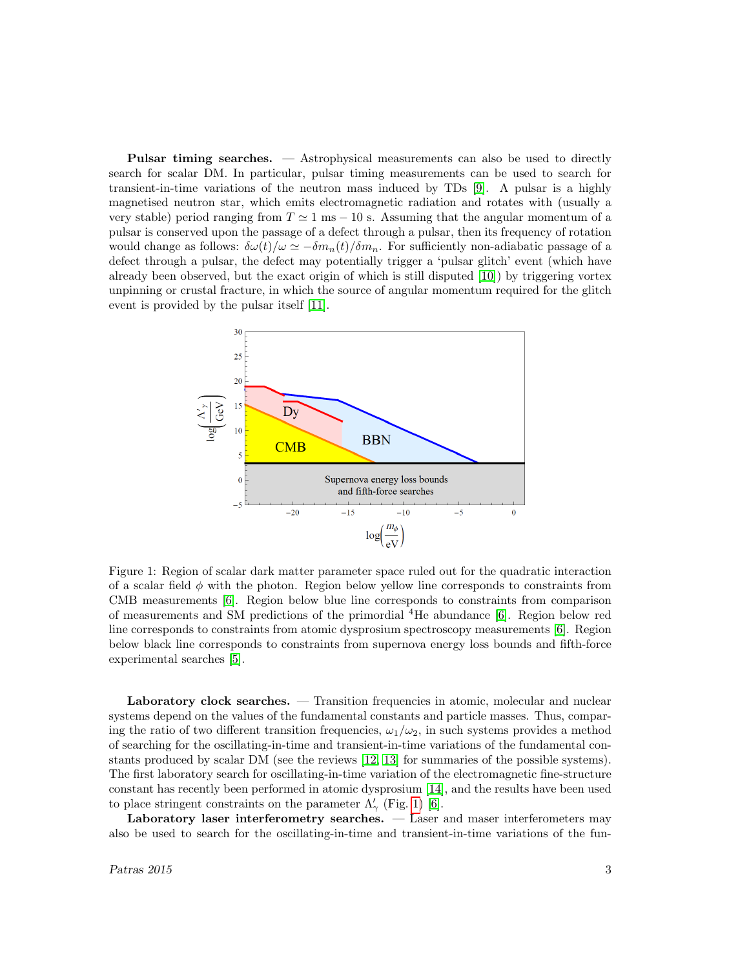**Pulsar timing searches.**  $\sim$  Astrophysical measurements can also be used to directly search for scalar DM. In particular, pulsar timing measurements can be used to search for transient-in-time variations of the neutron mass induced by TDs [\[9\]](#page-3-8). A pulsar is a highly magnetised neutron star, which emits electromagnetic radiation and rotates with (usually a very stable) period ranging from  $T \approx 1$  ms  $-10$  s. Assuming that the angular momentum of a pulsar is conserved upon the passage of a defect through a pulsar, then its frequency of rotation would change as follows:  $\delta\omega(t)/\omega \simeq -\delta m_n(t)/\delta m_n$ . For sufficiently non-adiabatic passage of a defect through a pulsar, the defect may potentially trigger a 'pulsar glitch' event (which have already been observed, but the exact origin of which is still disputed [\[10\]](#page-3-9)) by triggering vortex unpinning or crustal fracture, in which the source of angular momentum required for the glitch event is provided by the pulsar itself [\[11\]](#page-3-10).



<span id="page-2-0"></span>Figure 1: Region of scalar dark matter parameter space ruled out for the quadratic interaction of a scalar field  $\phi$  with the photon. Region below yellow line corresponds to constraints from CMB measurements [\[6\]](#page-3-5). Region below blue line corresponds to constraints from comparison of measurements and SM predictions of the primordial <sup>4</sup>He abundance [\[6\]](#page-3-5). Region below red line corresponds to constraints from atomic dysprosium spectroscopy measurements [\[6\]](#page-3-5). Region below black line corresponds to constraints from supernova energy loss bounds and fifth-force experimental searches [\[5\]](#page-3-4).

Laboratory clock searches. — Transition frequencies in atomic, molecular and nuclear systems depend on the values of the fundamental constants and particle masses. Thus, comparing the ratio of two different transition frequencies,  $\omega_1/\omega_2$ , in such systems provides a method of searching for the oscillating-in-time and transient-in-time variations of the fundamental constants produced by scalar DM (see the reviews [\[12,](#page-3-11) [13\]](#page-3-12) for summaries of the possible systems). The first laboratory search for oscillating-in-time variation of the electromagnetic fine-structure constant has recently been performed in atomic dysprosium [\[14\]](#page-3-13), and the results have been used to place stringent constraints on the parameter  $\Lambda'_{\gamma}$  (Fig. [1\)](#page-2-0) [\[6\]](#page-3-5).

Laboratory laser interferometry searches. — Laser and maser interferometers may also be used to search for the oscillating-in-time and transient-in-time variations of the fun